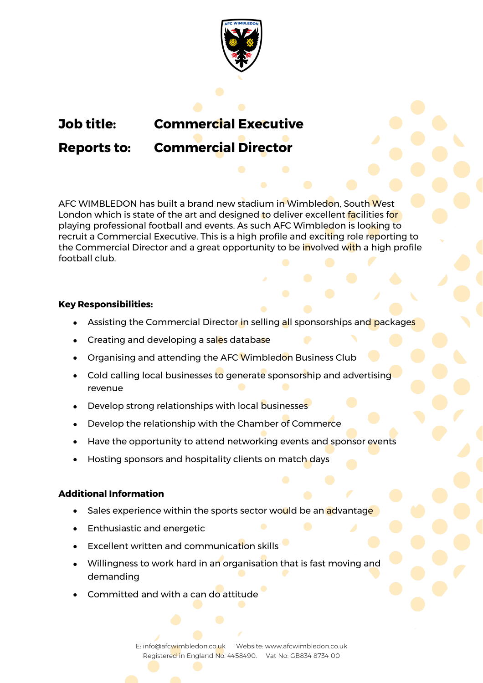

# **Job title: Commercial Executive**

## **Reports to: Commercial Director**

AFC WIMBLEDON has built a brand new stadium in Wimbledon, South West London which is state of the art and designed to deliver excellent facilities for playing professional football and events. As such AFC Wimbledon is looking to recruit a Commercial Executive. This is a high profile and exciting role reporting to the Commercial Director and a great opportunity to be involved with a high profile football club.

### **Key Responsibilities:**

- Assisting the Commercial Director in selling all sponsorships and packages
- Creating and developing a sales database
- Organising and attending the AFC Wimbledon Business Club
- Cold calling local businesses to generate sponsorship and advertising revenue
- Develop strong relationships with local businesses
- Develop the relationship with the Chamber of Commerce
- Have the opportunity to attend networking events and sponsor events
- Hosting sponsors and hospitality clients on match days

#### **Additional Information**

- Sales experience within the sports sector would be an **a**dvantage
- Enthusiastic and energetic
- Excellent written and communication skills
- Willingness to work hard in an organisation that is fast moving and demanding
- Committed and with a can do attitude

E: info@afcwimbledon.co.uk Website: www.afcwimbledon.co.uk Registered in England No. 4458490. Vat No: GB834 8734 00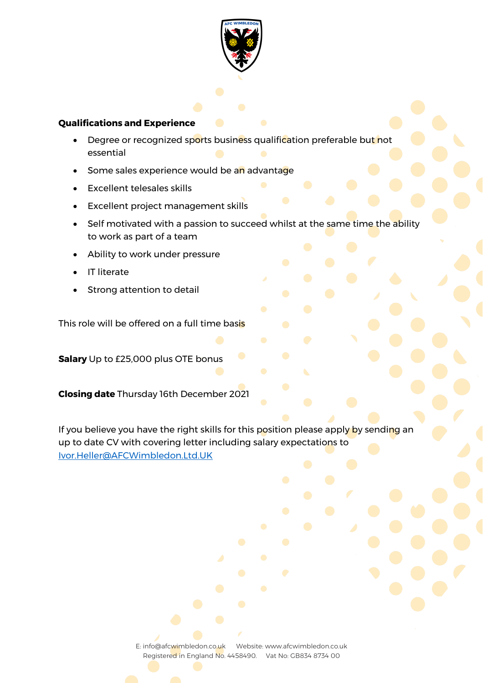

#### **Qualifications and Experience**

- Degree or recognized sports business qualification preferable but not essential
- Some sales experience would be an advantage
- Excellent telesales skills
- Excellent project management skills
- Self motivated with a passion to succeed whilst at the same time the ability to work as part of a team
- Ability to work under pressure
- **IT literate**
- Strong attention to detail

This role will be offered on a full time basis

**Salary** Up to £25,000 plus OTE bonus

**Closing date** Thursday 16th December 2021

If you believe you have the right skills for this position please apply by sending an up to date CV with covering letter including salary expectations to Ivor.Heller@AFCWimbledon.Ltd.UK

> E: info@afcwimbledon.co.uk Website: www.afcwimbledon.co.uk Registered in England No. 4458490. Vat No: GB834 8734 00